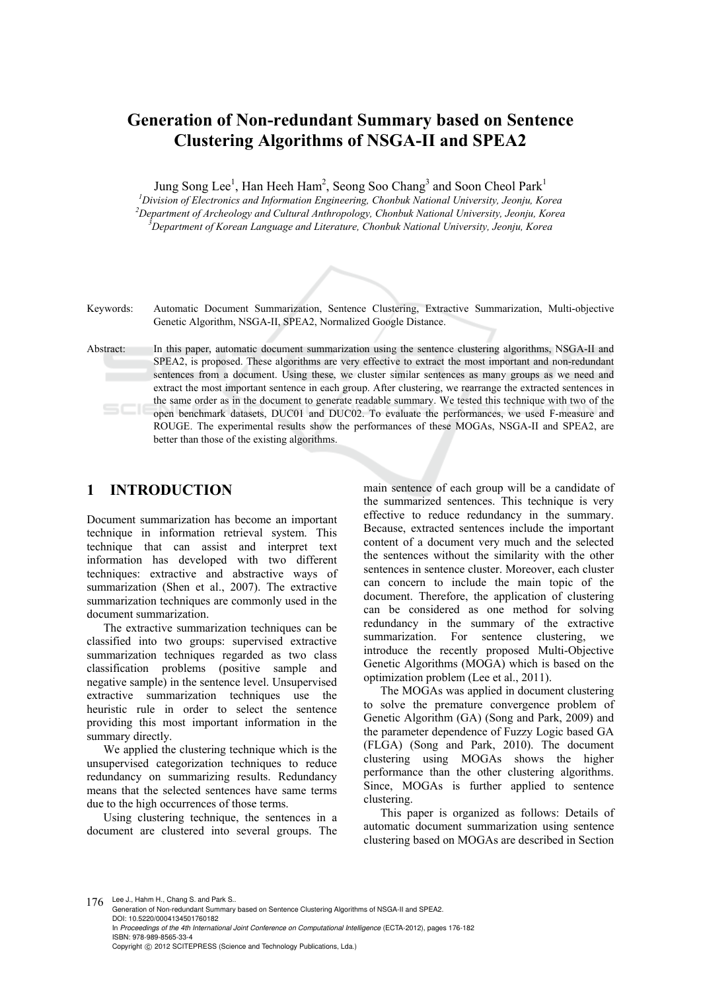# **Generation of Non-redundant Summary based on Sentence Clustering Algorithms of NSGA-II and SPEA2**

Jung Song Lee<sup>1</sup>, Han Heeh Ham<sup>2</sup>, Seong Soo Chang<sup>3</sup> and Soon Cheol Park<sup>1</sup>

*<sup>1</sup>* Division of Electronics and Information Engineering, Chonbuk National University, Jeonju, Korea <sup>2</sup> Denaytment of Archaelecus and Cultural Anthropology, Chonbuk National University, Jeonju, Korea *Department of Archeology and Cultural Anthropology, Chonbuk National University, Jeonju, Korea 3 Department of Korean Language and Literature, Chonbuk National University, Jeonju, Korea* 



Keywords: Automatic Document Summarization, Sentence Clustering, Extractive Summarization, Multi-objective Genetic Algorithm, NSGA-II, SPEA2, Normalized Google Distance.

Abstract: In this paper, automatic document summarization using the sentence clustering algorithms, NSGA-II and SPEA2, is proposed. These algorithms are very effective to extract the most important and non-redundant sentences from a document. Using these, we cluster similar sentences as many groups as we need and extract the most important sentence in each group. After clustering, we rearrange the extracted sentences in the same order as in the document to generate readable summary. We tested this technique with two of the open benchmark datasets, DUC01 and DUC02. To evaluate the performances, we used F-measure and ROUGE. The experimental results show the performances of these MOGAs, NSGA-II and SPEA2, are better than those of the existing algorithms.

# **1 INTRODUCTION**

Document summarization has become an important technique in information retrieval system. This technique that can assist and interpret text information has developed with two different techniques: extractive and abstractive ways of summarization (Shen et al., 2007). The extractive summarization techniques are commonly used in the document summarization.

The extractive summarization techniques can be classified into two groups: supervised extractive summarization techniques regarded as two class classification problems (positive sample and negative sample) in the sentence level. Unsupervised extractive summarization techniques use the heuristic rule in order to select the sentence providing this most important information in the summary directly.

We applied the clustering technique which is the unsupervised categorization techniques to reduce redundancy on summarizing results. Redundancy means that the selected sentences have same terms due to the high occurrences of those terms.

Using clustering technique, the sentences in a document are clustered into several groups. The

main sentence of each group will be a candidate of the summarized sentences. This technique is very effective to reduce redundancy in the summary. Because, extracted sentences include the important content of a document very much and the selected the sentences without the similarity with the other sentences in sentence cluster. Moreover, each cluster can concern to include the main topic of the document. Therefore, the application of clustering can be considered as one method for solving redundancy in the summary of the extractive summarization. For sentence clustering, we introduce the recently proposed Multi-Objective Genetic Algorithms (MOGA) which is based on the optimization problem (Lee et al., 2011).

The MOGAs was applied in document clustering to solve the premature convergence problem of Genetic Algorithm (GA) (Song and Park, 2009) and the parameter dependence of Fuzzy Logic based GA (FLGA) (Song and Park, 2010). The document clustering using MOGAs shows the higher performance than the other clustering algorithms. Since, MOGAs is further applied to sentence clustering.

This paper is organized as follows: Details of automatic document summarization using sentence clustering based on MOGAs are described in Section

176 Lee J., Hahm H., Chang S. and Park S.

Generation of Non-redundant Summary based on Sentence Clustering Algorithms of NSGA-II and SPEA2. DOI: 10.5220/0004134501760182 In *Proceedings of the 4th International Joint Conference on Computational Intelligence* (ECTA-2012), pages 176-182 ISBN: 978-989-8565-33-4 Copyright © 2012 SCITEPRESS (Science and Technology Publications, Lda.)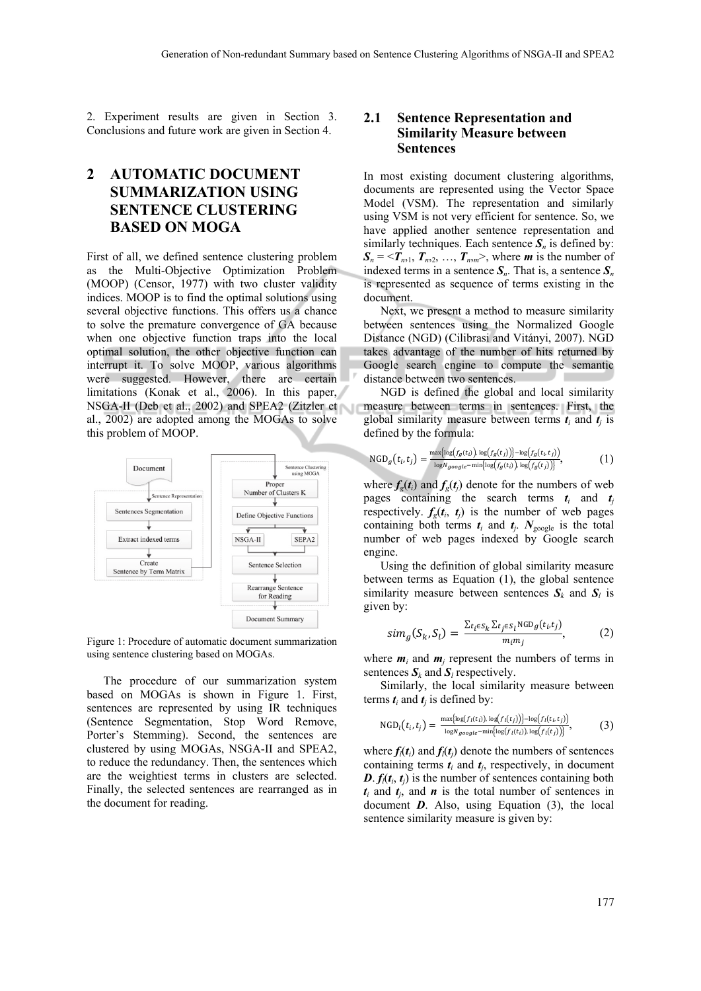2. Experiment results are given in Section 3. Conclusions and future work are given in Section 4.

# **2 AUTOMATIC DOCUMENT SUMMARIZATION USING SENTENCE CLUSTERING BASED ON MOGA**

First of all, we defined sentence clustering problem as the Multi-Objective Optimization Problem (MOOP) (Censor, 1977) with two cluster validity indices. MOOP is to find the optimal solutions using several objective functions. This offers us a chance to solve the premature convergence of GA because when one objective function traps into the local optimal solution, the other objective function can interrupt it. To solve MOOP, various algorithms were suggested. However, there are certain limitations (Konak et al., 2006). In this paper, NSGA-II (Deb et al., 2002) and SPEA2 (Zitzler et al., 2002) are adopted among the MOGAs to solve this problem of MOOP.



Figure 1: Procedure of automatic document summarization using sentence clustering based on MOGAs.

The procedure of our summarization system based on MOGAs is shown in Figure 1. First, sentences are represented by using IR techniques (Sentence Segmentation, Stop Word Remove, Porter's Stemming). Second, the sentences are clustered by using MOGAs, NSGA-II and SPEA2, to reduce the redundancy. Then, the sentences which are the weightiest terms in clusters are selected. Finally, the selected sentences are rearranged as in the document for reading.

#### **2.1 Sentence Representation and Similarity Measure between Sentences**

In most existing document clustering algorithms, documents are represented using the Vector Space Model (VSM). The representation and similarly using VSM is not very efficient for sentence. So, we have applied another sentence representation and similarly techniques. Each sentence  $S_n$  is defined by:  $S_n = \langle T_{n,1}, T_{n,2}, \dots, T_{n,m} \rangle$ , where *m* is the number of indexed terms in a sentence  $S_n$ . That is, a sentence  $S_n$ is represented as sequence of terms existing in the document.

Next, we present a method to measure similarity between sentences using the Normalized Google Distance (NGD) (Cilibrasi and Vitányi, 2007). NGD takes advantage of the number of hits returned by Google search engine to compute the semantic distance between two sentences.

NGD is defined the global and local similarity measure between terms in sentences. First, the global similarity measure between terms  $t_i$  and  $t_j$  is defined by the formula:

$$
\text{NGD}_g(t_i, t_j) = \frac{\max\{\log(f_g(t_i))\log(f_g(t_j))\} - \log(f_g(t_i, t_j))}{\log N_{google} - \min\{\log(f_g(t_i))\log(f_g(t_j))\}},\tag{1}
$$

where  $f_{\varrho}(t_i)$  and  $f_{\varrho}(t_i)$  denote for the numbers of web pages containing the search terms  $t_i$  and  $t_j$ respectively.  $f_e(t_i, t_j)$  is the number of web pages containing both terms  $t_i$  and  $t_j$ .  $N_{\text{google}}$  is the total number of web pages indexed by Google search engine.

Using the definition of global similarity measure between terms as Equation (1), the global sentence similarity measure between sentences  $S_k$  and  $S_l$  is given by:

$$
sim_g(S_k, S_l) = \frac{\sum_{t_i \in S_k} \sum_{t_j \in S_l} \text{NGD}_g(t_i, t_j)}{m_i m_j},
$$
 (2)

where  $m_i$  and  $m_j$  represent the numbers of terms in sentences  $S_k$  and  $S_l$  respectively.

Similarly, the local similarity measure between terms  $t_i$  and  $t_j$  is defined by:

$$
\text{NGD}_l(t_i, t_j) = \frac{\max\{\log(f_l(t_i)), \log(f_l(t_j))\} - \log(f_l(t_i, t_j))}{\log N_{google} - \min\{\log(f_l(t_i)), \log(f_l(t_j))\}},\tag{3}
$$

where  $f_i(t_i)$  and  $f_i(t_j)$  denote the numbers of sentences containing terms  $t_i$  and  $t_j$ , respectively, in document  $D$ .  $f_i(t_i, t_j)$  is the number of sentences containing both  $t_i$  and  $t_j$ , and  $n$  is the total number of sentences in document *D*. Also, using Equation (3), the local sentence similarity measure is given by: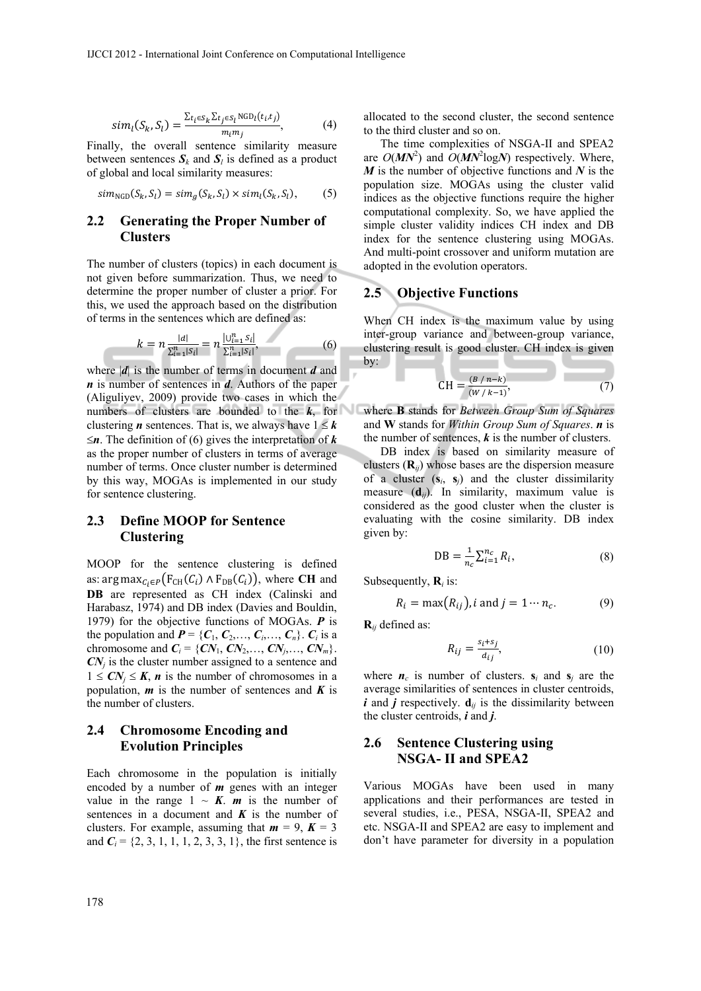$$
sim_l(S_k, S_l) = \frac{\sum_{t_i \in S_k} \sum_{t_j \in S_l} \text{NGD}_l(t_i, t_j)}{m_i m_j}, \tag{4}
$$

Finally, the overall sentence similarity measure between sentences  $S_k$  and  $S_l$  is defined as a product of global and local similarity measures:

$$
sim_{NGD}(S_k, S_l) = sim_g(S_k, S_l) \times sim_l(S_k, S_l), \qquad (5)
$$

#### **2.2 Generating the Proper Number of Clusters**

The number of clusters (topics) in each document is not given before summarization. Thus, we need to determine the proper number of cluster a prior. For this, we used the approach based on the distribution of terms in the sentences which are defined as:

$$
k = n \frac{|d|}{\sum_{i=1}^{n} |S_i|} = n \frac{|U_{i=1}^n S_i|}{\sum_{i=1}^{n} |S_i|},
$$
(6)

where |*d*| is the number of terms in document *d* and *n* is number of sentences in *d*. Authors of the paper (Aliguliyev, 2009) provide two cases in which the numbers of clusters are bounded to the  $k$ , for clustering *n* sentences. That is, we always have  $1 \leq k$  $\leq n$ . The definition of (6) gives the interpretation of *k* as the proper number of clusters in terms of average number of terms. Once cluster number is determined by this way, MOGAs is implemented in our study for sentence clustering.

## **2.3 Define MOOP for Sentence Clustering**

MOOP for the sentence clustering is defined as: arg max<sub> $C_i \in P$ </sub> $(F_{CH}(C_i) \wedge F_{DB}(C_i))$ , where **CH** and **DB** are represented as CH index (Calinski and Harabasz, 1974) and DB index (Davies and Bouldin, 1979) for the objective functions of MOGAs. *P* is the population and  $P = \{C_1, C_2, \ldots, C_i, \ldots, C_n\}$ .  $C_i$  is a chromosome and  $C_i = \{CN_1, CN_2,..., CN_j,..., CN_m\}.$  $CN<sub>i</sub>$  is the cluster number assigned to a sentence and  $1 \leq C N_i \leq K$ , *n* is the number of chromosomes in a population,  $m$  is the number of sentences and  $K$  is the number of clusters.

# **2.4 Chromosome Encoding and Evolution Principles**

Each chromosome in the population is initially encoded by a number of *m* genes with an integer value in the range  $1 \sim K$ . *m* is the number of sentences in a document and  $K$  is the number of clusters. For example, assuming that  $m = 9$ ,  $K = 3$ and  $C_i = \{2, 3, 1, 1, 1, 2, 3, 3, 1\}$ , the first sentence is allocated to the second cluster, the second sentence to the third cluster and so on.

The time complexities of NSGA-II and SPEA2 are  $O(MN^2)$  and  $O(MN^2 \log N)$  respectively. Where, *M* is the number of objective functions and *N* is the population size. MOGAs using the cluster valid indices as the objective functions require the higher computational complexity. So, we have applied the simple cluster validity indices CH index and DB index for the sentence clustering using MOGAs. And multi-point crossover and uniform mutation are adopted in the evolution operators.

## **2.5 Objective Functions**

When CH index is the maximum value by using inter-group variance and between-group variance, clustering result is good cluster. CH index is given by:

$$
CH = \frac{(B/n-k)}{(W/k-1)},
$$
 (7)

where **B** stands for *Between Group Sum of Squares* and **W** stands for *Within Group Sum of Squares*. *n* is the number of sentences,  $k$  is the number of clusters.

DB index is based on similarity measure of clusters (**R***ij*) whose bases are the dispersion measure of a cluster  $(s_i, s_j)$  and the cluster dissimilarity measure (**d***ij*). In similarity, maximum value is considered as the good cluster when the cluster is evaluating with the cosine similarity. DB index given by:

$$
DB = \frac{1}{n_c} \sum_{i=1}^{n_c} R_i,
$$
\n(8)

Subsequently,  $\mathbf{R}_i$  is:

$$
R_i = \max(R_{ij}), i \text{ and } j = 1 \cdots n_c. \tag{9}
$$

**R***ij* defined as:

$$
R_{ij} = \frac{s_i + s_j}{d_{ij}},\tag{10}
$$

where  $n_c$  is number of clusters.  $s_i$  and  $s_j$  are the average similarities of sentences in cluster centroids,  $\boldsymbol{i}$  and  $\boldsymbol{j}$  respectively.  $\mathbf{d}_{ij}$  is the dissimilarity between the cluster centroids, *i* and *j*.

#### **2.6 Sentence Clustering using NSGA- II and SPEA2**

Various MOGAs have been used in many applications and their performances are tested in several studies, i.e., PESA, NSGA-II, SPEA2 and etc. NSGA-II and SPEA2 are easy to implement and don't have parameter for diversity in a population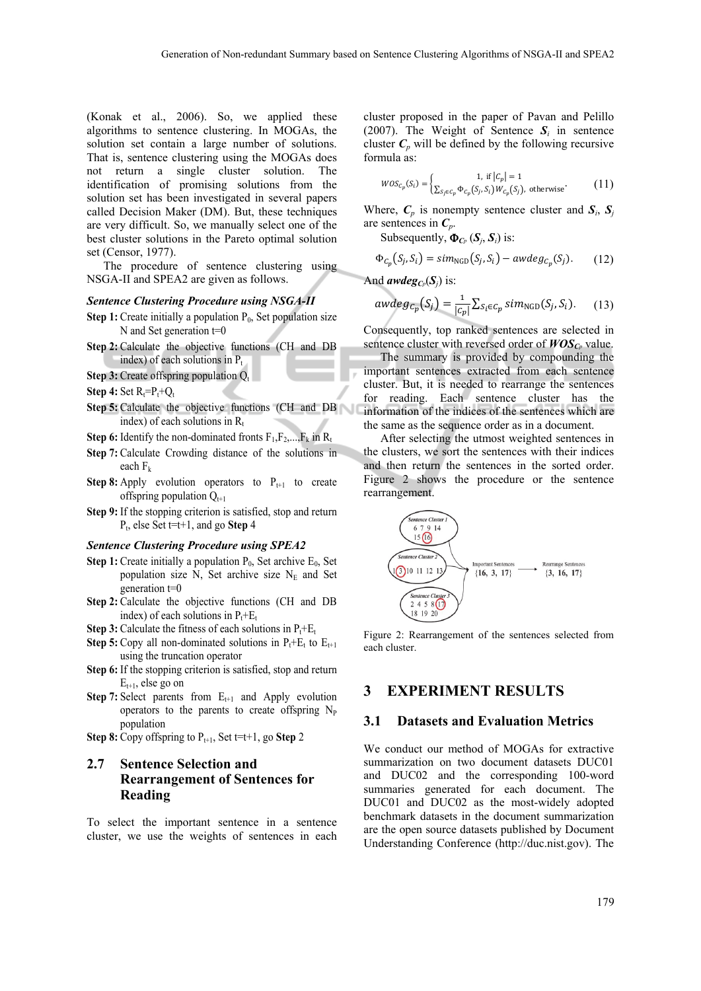(Konak et al., 2006). So, we applied these algorithms to sentence clustering. In MOGAs, the solution set contain a large number of solutions. That is, sentence clustering using the MOGAs does not return a single cluster solution. The identification of promising solutions from the solution set has been investigated in several papers called Decision Maker (DM). But, these techniques are very difficult. So, we manually select one of the best cluster solutions in the Pareto optimal solution set (Censor, 1977).

The procedure of sentence clustering using NSGA-II and SPEA2 are given as follows.

#### *Sentence Clustering Procedure using NSGA-II*

- **Step 1:** Create initially a population  $P_0$ , Set population size N and Set generation t=0
- **Step 2:** Calculate the objective functions (CH and DB index) of each solutions in  $P_t$
- **Step 3:** Create offspring population  $Q_t$
- **Step 4:** Set  $R_t = P_t + Q_t$
- **Step 5:** Calculate the objective functions (CH and DB index) of each solutions in  $R_t$
- **Step 6:** Identify the non-dominated fronts  $F_1, F_2, \ldots, F_k$  in  $R_t$
- **Step 7:** Calculate Crowding distance of the solutions in each  $F_k$
- **Step 8:** Apply evolution operators to  $P_{t+1}$  to create offspring population  $Q_{t+1}$
- **Step 9:** If the stopping criterion is satisfied, stop and return Pt, else Set t=t+1, and go **Step** 4

#### *Sentence Clustering Procedure using SPEA2*

- **Step 1:** Create initially a population  $P_0$ , Set archive  $E_0$ , Set population size N, Set archive size  $N_E$  and Set generation t=0
- **Step 2:** Calculate the objective functions (CH and DB index) of each solutions in  $P_t + E_t$
- **Step 3:** Calculate the fitness of each solutions in  $P_t + E_t$
- **Step 5:** Copy all non-dominated solutions in  $P_t + E_t$  to  $E_{t+1}$ using the truncation operator
- **Step 6:** If the stopping criterion is satisfied, stop and return  $E_{t+1}$ , else go on
- **Step 7:** Select parents from  $E_{t+1}$  and Apply evolution operators to the parents to create offspring  $N_{P}$ population
- **Step 8:** Copy offspring to  $P_{t+1}$ , Set t=t+1, go **Step** 2

# **2.7 Sentence Selection and Rearrangement of Sentences for Reading**

To select the important sentence in a sentence cluster, we use the weights of sentences in each cluster proposed in the paper of Pavan and Pelillo (2007). The Weight of Sentence  $S_i$  in sentence cluster  $C_p$  will be defined by the following recursive formula as:

$$
WOS_{C_p}(S_i) = \begin{cases} 1, & \text{if } |C_p| = 1\\ \sum_{S_j \in C_p} \Phi_{C_p}(S_j, S_i) W_{C_p}(S_j), & \text{otherwise} \end{cases}
$$
 (11)

Where,  $C_p$  is nonempty sentence cluster and  $S_i$ ,  $S_j$ are sentences in *Cp*.

Subsequently,  $\Phi_{C_p}(S_i, S_i)$  is:

$$
\Phi_{C_p}(S_j, S_i) = \text{sim}_{\text{NGD}}(S_j, S_i) - \text{awdeg}_{C_p}(S_j). \tag{12}
$$

And *awdeg*<sub>*C<sub><i>p*</sub></sub>( $S$ <sub>*j*</sub>) is:</sub>

$$
awdeg_{C_p}(S_j) = \frac{1}{|C_p|} \sum_{S_i \in C_p} sim_{\text{NGD}}(S_j, S_i). \tag{13}
$$

Consequently, top ranked sentences are selected in sentence cluster with reversed order of  $WOS_{Cp}$  value.

The summary is provided by compounding the important sentences extracted from each sentence cluster. But, it is needed to rearrange the sentences for reading. Each sentence cluster has the information of the indices of the sentences which are the same as the sequence order as in a document.

After selecting the utmost weighted sentences in the clusters, we sort the sentences with their indices and then return the sentences in the sorted order. Figure 2 shows the procedure or the sentence rearrangement.



Figure 2: Rearrangement of the sentences selected from each cluster.

# **3 EXPERIMENT RESULTS**

#### **3.1 Datasets and Evaluation Metrics**

We conduct our method of MOGAs for extractive summarization on two document datasets DUC01 and DUC02 and the corresponding 100-word summaries generated for each document. The DUC01 and DUC02 as the most-widely adopted benchmark datasets in the document summarization are the open source datasets published by Document Understanding Conference (http://duc.nist.gov). The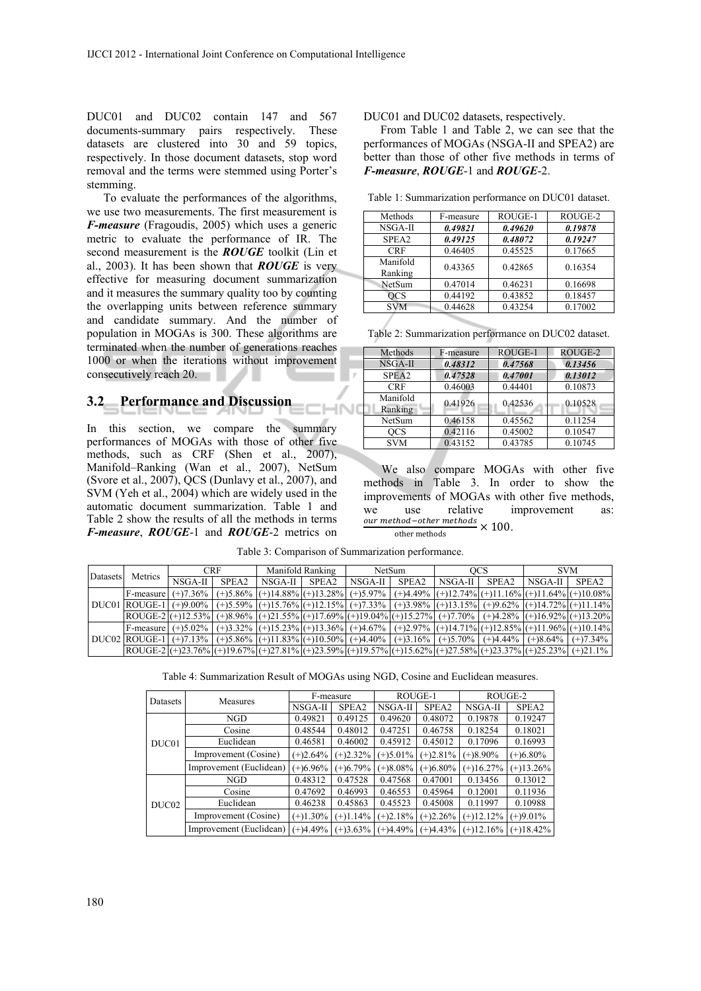DUC01 and DUC02 contain 147 and 567 documents-summary pairs respectively. These datasets are clustered into 30 and 59 topics, respectively. In those document datasets, stop word removal and the terms were stemmed using Porter's stemming.

To evaluate the performances of the algorithms, we use two measurements. The first measurement is *F-measure* (Fragoudis, 2005) which uses a generic metric to evaluate the performance of IR. The second measurement is the *ROUGE* toolkit (Lin et al., 2003). It has been shown that *ROUGE* is very effective for measuring document summarization and it measures the summary quality too by counting the overlapping units between reference summary and candidate summary. And the number of population in MOGAs is 300. These algorithms are terminated when the number of generations reaches 1000 or when the iterations without improvement consecutively reach 20.

## **3.2 Performance and Discussion**

In this section, we compare the summary performances of MOGAs with those of other five methods, such as CRF (Shen et al., 2007), Manifold–Ranking (Wan et al., 2007), NetSum (Svore et al., 2007), QCS (Dunlavy et al., 2007), and SVM (Yeh et al., 2004) which are widely used in the automatic document summarization. Table 1 and Table 2 show the results of all the methods in terms *F-measure*, *ROUGE*-1 and *ROUGE*-2 metrics on DUC01 and DUC02 datasets, respectively.

From Table 1 and Table 2, we can see that the performances of MOGAs (NSGA-II and SPEA2) are better than those of other five methods in terms of *F-measure*, *ROUGE*-1 and *ROUGE*-2.

| Table 1: Summarization performance on DUC01 dataset. |  |  |  |
|------------------------------------------------------|--|--|--|
|------------------------------------------------------|--|--|--|

| Methods             | F-measure | ROUGE-1 | ROUGE-2 |
|---------------------|-----------|---------|---------|
| NSGA-II             | 0.49821   | 0.49620 | 0.19878 |
| SPEA <sub>2</sub>   | 0.49125   | 0.48072 | 0.19247 |
| <b>CRF</b>          | 0.46405   | 0.45525 | 0.17665 |
| Manifold<br>Ranking | 0.43365   | 0.42865 | 0.16354 |
| NetSum              | 0.47014   | 0.46231 | 0.16698 |
| OCS                 | 0.44192   | 0.43852 | 0.18457 |
| <b>SVM</b>          | 0.44628   | 0.43254 | 0.17002 |
|                     |           |         |         |

Table 2: Summarization performance on DUC02 dataset.

| Methods             | F-measure | ROUGE-1 | ROUGE-2 |
|---------------------|-----------|---------|---------|
| NSGA-II             | 0.48312   | 0.47568 | 0.13456 |
| SPEA <sub>2</sub>   | 0.47528   | 0.47001 | 0.13012 |
| <b>CRF</b>          | 0.46003   | 0.44401 | 0.10873 |
| Manifold<br>Ranking | 0.41926   | 0.42536 | 0.10528 |
| NetSum              | 0.46158   | 0.45562 | 0.11254 |
| OCS                 | 0.42116   | 0.45002 | 0.10547 |
| <b>SVM</b>          | 0.43152   | 0.43785 | 0.10745 |

We also compare MOGAs with other five methods in Table 3. In order to show the improvements of MOGAs with other five methods, we use relative improvement as:<br>
<u>our methods</u>  $\times$  100.

Table 3: Comparison of Summarization performance.

| Datasets | Metrics | <b>CRF</b> |       | Manifold Ranking                                                                                                                                                                                                                                        |  | <b>NetSum</b> |       | OCS.    |       | <b>SVM</b> |                   |
|----------|---------|------------|-------|---------------------------------------------------------------------------------------------------------------------------------------------------------------------------------------------------------------------------------------------------------|--|---------------|-------|---------|-------|------------|-------------------|
|          |         | NSGA-II    | SPEA2 | $NSGA-H$ $SPEA2$                                                                                                                                                                                                                                        |  | NSGA-II I     | SPEA2 | NSGA-II | SPEA2 | NSGA-II I  | SPEA <sub>2</sub> |
|          |         |            |       | F-measure $ (+)7.36\% (+)5.86\% (+)14.88\% (+)13.28\% (+)5.97\% (+)4.49\% (+)12.74\% (+)11.16\% (+)11.64\% (+)10.08\% (+)11.64\% (+)11.64\% (+)11.64\% (+)11.64\% (+)10.08\% (-)11.64\% (-)11.64\% (-)11.64\% (-)11.64\% (-)11.64\% (-)11.64\% (-)1$    |  |               |       |         |       |            |                   |
|          |         |            |       | DUC01 ROUGE-1 (+)9.00% (+)5.59% (+)15.76% (+)12.15% (+)7.33% (+)3.98% (+)13.15% (+)9.62% (+)14.72% (+)11.14%                                                                                                                                            |  |               |       |         |       |            |                   |
|          |         |            |       | $ ROUGE-2 (+)12.53\% (+)8.96\% (+)21.55\% (+)17.69\% (+)19.04\% (+)15.27\% (+)7.70\% (+)4.28\% (+)16.92\% (+)13.20\% (+)13.20\% (+)16.92\% (+)17.69\% (+)19.04\% (+)19.04\% (+)19.04\% (+)19.04\% (+)19.04\% (+)19.04\% (+)19.04\% (+)19.04\% (+)19.0$  |  |               |       |         |       |            |                   |
|          |         |            |       | F-measure (+)5.02% (+)3.32% (+)15.23% (+)13.36% (+)4.67% (+)2.97% (+)14.71% (+)12.85% (+)11.96% (+)10.14%                                                                                                                                               |  |               |       |         |       |            |                   |
|          |         |            |       | DUC02 ROUGE-1 (+)7.13% (+)5.86% (+)11.83% (+)10.50% (+)4.40% (+)3.16% (+)5.70% (+)4.44% (+)8.64% (+)7.34%                                                                                                                                               |  |               |       |         |       |            |                   |
|          |         |            |       | $ ROUGE-2 (+)23.76\% (+)19.67\% (+)27.81\% (+)23.59\% (+)19.57\% (+)15.62\% (+)27.58\% (+)23.37\% (+)25.23\% (+)21.1\% (+)24.8\% (+)25.23\% (+)26.23\% (+)27.81\% (+)27.81\% (+)27.89\% (+)27.82\% (+)27.83\% (+)27.84\% (+)27.85\% (+)27.85\% (+)27.8$ |  |               |       |         |       |            |                   |

Table 4: Summarization Result of MOGAs using NGD, Cosine and Euclidean measures.

| Datasets | <b>Measures</b>         | F-measure   |             | ROUGE-1     |             | ROUGE-2     |             |
|----------|-------------------------|-------------|-------------|-------------|-------------|-------------|-------------|
|          |                         | NSGA-II     | SPEA2       | NSGA-II     | SPEA2       | NSGA-II     | SPEA2       |
|          | NGD                     | 0.49821     | 0.49125     | 0.49620     | 0.48072     | 0.19878     | 0.19247     |
|          | Cosine                  | 0.48544     | 0.48012     | 0.47251     | 0.46758     | 0.18254     | 0.18021     |
| DUC01    | Euclidean               | 0.46581     | 0.46002     | 0.45912     | 0.45012     | 0.17096     | 0.16993     |
|          | Improvement (Cosine)    | $(+)2.64%$  | $(+)2.32%$  | $(+)5.01\%$ | $(+)2.81%$  | $(+)8.90\%$ | $(+)6.80\%$ |
|          | Improvement (Euclidean) | $(+)6.96\%$ | $(+)6.79%$  | $(+)8.08\%$ | $(+)6.80\%$ | $(+)16.27%$ | $(+)13.26%$ |
| DUC02    | NGD                     | 0.48312     | 0.47528     | 0.47568     | 0.47001     | 0.13456     | 0.13012     |
|          | Cosine                  | 0.47692     | 0.46993     | 0.46553     | 0.45964     | 0.12001     | 0.11936     |
|          | Euclidean               | 0.46238     | 0.45863     | 0.45523     | 0.45008     | 0.11997     | 0.10988     |
|          | Improvement (Cosine)    | $(+)1.30\%$ | $(+)1.14%$  | $(+)2.18%$  | $(+)2.26%$  | $(+)12.12%$ | $(+)9.01%$  |
|          | Improvement (Euclidean) | $(+)4.49%$  | $(+)3.63\%$ | $(+)4.49%$  | $(+)4.43%$  | $(+)12.16%$ | $(+)18.42%$ |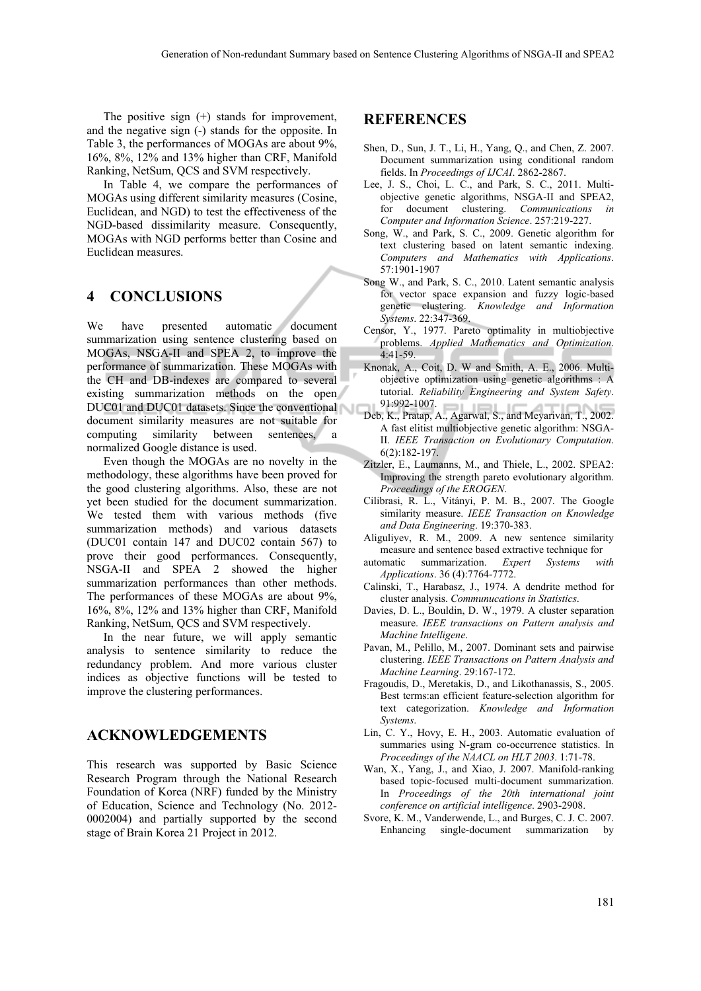The positive sign (+) stands for improvement, and the negative sign (-) stands for the opposite. In Table 3, the performances of MOGAs are about 9%, 16%, 8%, 12% and 13% higher than CRF, Manifold Ranking, NetSum, QCS and SVM respectively.

In Table 4, we compare the performances of MOGAs using different similarity measures (Cosine, Euclidean, and NGD) to test the effectiveness of the NGD-based dissimilarity measure. Consequently, MOGAs with NGD performs better than Cosine and Euclidean measures.

# **4 CONCLUSIONS**

We have presented automatic document summarization using sentence clustering based on MOGAs, NSGA-II and SPEA 2, to improve the performance of summarization. These MOGAs with the CH and DB-indexes are compared to several existing summarization methods on the open DUC01 and DUC01 datasets. Since the conventional document similarity measures are not suitable for computing similarity between sentences, a normalized Google distance is used.

Even though the MOGAs are no novelty in the methodology, these algorithms have been proved for the good clustering algorithms. Also, these are not yet been studied for the document summarization. We tested them with various methods (five summarization methods) and various datasets (DUC01 contain 147 and DUC02 contain 567) to prove their good performances. Consequently, NSGA-II and SPEA 2 showed the higher summarization performances than other methods. The performances of these MOGAs are about 9%, 16%, 8%, 12% and 13% higher than CRF, Manifold Ranking, NetSum, QCS and SVM respectively.

In the near future, we will apply semantic analysis to sentence similarity to reduce the redundancy problem. And more various cluster indices as objective functions will be tested to improve the clustering performances.

# **ACKNOWLEDGEMENTS**

This research was supported by Basic Science Research Program through the National Research Foundation of Korea (NRF) funded by the Ministry of Education, Science and Technology (No. 2012- 0002004) and partially supported by the second stage of Brain Korea 21 Project in 2012.

## **REFERENCES**

- Shen, D., Sun, J. T., Li, H., Yang, Q., and Chen, Z. 2007. Document summarization using conditional random fields. In *Proceedings of IJCAI*. 2862-2867.
- Lee, J. S., Choi, L. C., and Park, S. C., 2011. Multiobjective genetic algorithms, NSGA-II and SPEA2, for document clustering. *Communications in Computer and Information Science*. 257:219-227.
- Song, W., and Park, S. C., 2009. Genetic algorithm for text clustering based on latent semantic indexing. *Computers and Mathematics with Applications*. 57:1901-1907
- Song W., and Park, S. C., 2010. Latent semantic analysis for vector space expansion and fuzzy logic-based genetic clustering. *Knowledge and Information Systems*. 22:347-369.
- Censor, Y., 1977. Pareto optimality in multiobjective problems. *Applied Mathematics and Optimization*. 4:41-59.
- Knonak, A., Coit, D. W and Smith, A. E., 2006. Multiobjective optimization using genetic algorithms : A tutorial. *Reliability Engineering and System Safety*. 91:992-1007.
- Deb, K., Pratap, A., Agarwal, S., and Meyarivan, T., 2002. A fast elitist multiobjective genetic algorithm: NSGA-II. *IEEE Transaction on Evolutionary Computation*. 6(2):182-197.
- Zitzler, E., Laumanns, M., and Thiele, L., 2002. SPEA2: Improving the strength pareto evolutionary algorithm. *Proceedings of the EROGEN*.
- Cilibrasi, R. L., Vitányi, P. M. B., 2007. The Google similarity measure. *IEEE Transaction on Knowledge and Data Engineering*. 19:370-383.
- Aliguliyev, R. M., 2009. A new sentence similarity measure and sentence based extractive technique for
- automatic summarization. *Expert Systems with Applications*. 36 (4):7764-7772.
- Calinski, T., Harabasz, J., 1974. A dendrite method for cluster analysis. *Communucations in Statistics*.
- Davies, D. L., Bouldin, D. W., 1979. A cluster separation measure. *IEEE transactions on Pattern analysis and Machine Intelligene*.
- Pavan, M., Pelillo, M., 2007. Dominant sets and pairwise clustering. *IEEE Transactions on Pattern Analysis and Machine Learning*. 29:167-172.
- Fragoudis, D., Meretakis, D., and Likothanassis, S., 2005. Best terms:an efficient feature-selection algorithm for text categorization. *Knowledge and Information Systems*.
- Lin, C. Y., Hovy, E. H., 2003. Automatic evaluation of summaries using N-gram co-occurrence statistics. In *Proceedings of the NAACL on HLT 2003*. 1:71-78.
- Wan, X., Yang, J., and Xiao, J. 2007. Manifold-ranking based topic-focused multi-document summarization. In *Proceedings of the 20th international joint conference on artificial intelligence*. 2903-2908.
- Svore, K. M., Vanderwende, L., and Burges, C. J. C. 2007. Enhancing single-document summarization by